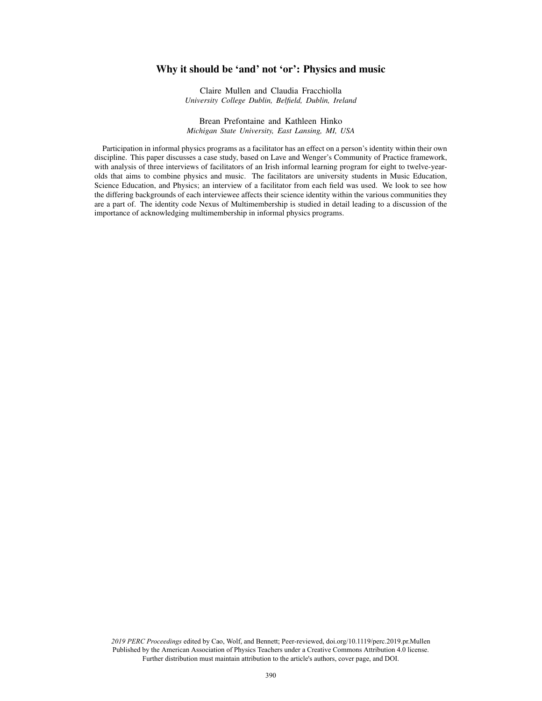# Why it should be 'and' not 'or': Physics and music

Claire Mullen and Claudia Fracchiolla *University College Dublin, Belfield, Dublin, Ireland*

Brean Prefontaine and Kathleen Hinko *Michigan State University, East Lansing, MI, USA*

Participation in informal physics programs as a facilitator has an effect on a person's identity within their own discipline. This paper discusses a case study, based on Lave and Wenger's Community of Practice framework, with analysis of three interviews of facilitators of an Irish informal learning program for eight to twelve-yearolds that aims to combine physics and music. The facilitators are university students in Music Education, Science Education, and Physics; an interview of a facilitator from each field was used. We look to see how the differing backgrounds of each interviewee affects their science identity within the various communities they are a part of. The identity code Nexus of Multimembership is studied in detail leading to a discussion of the importance of acknowledging multimembership in informal physics programs.

*2019 PERC Proceedings* edited by Cao, Wolf, and Bennett; Peer-reviewed, doi.org/10.1119/perc.2019.pr.Mullen Published by the American Association of Physics Teachers under a Creative Commons Attribution 4.0 license. Further distribution must maintain attribution to the article's authors, cover page, and DOI.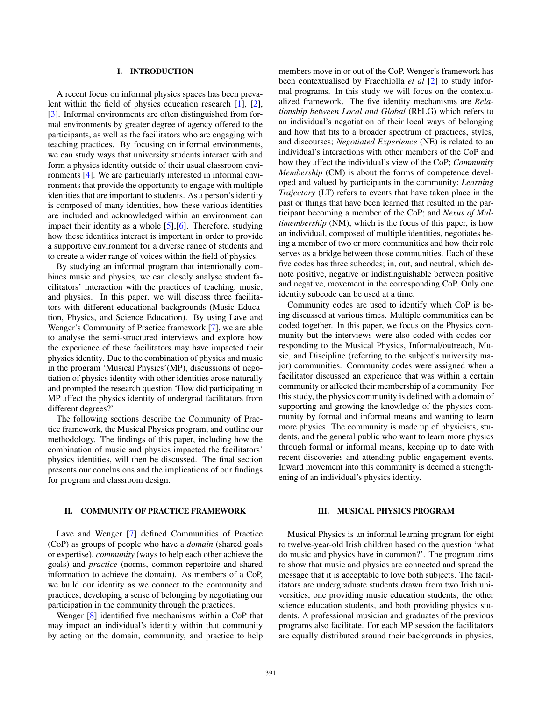# I. INTRODUCTION

A recent focus on informal physics spaces has been prevalent within the field of physics education research [1], [2], [3]. Informal environments are often distinguished from formal environments by greater degree of agency offered to the participants, as well as the facilitators who are engaging with teaching practices. By focusing on informal environments, we can study ways that university students interact with and form a physics identity outside of their usual classroom environments [4]. We are particularly interested in informal environments that provide the opportunity to engage with multiple identities that are important to students. As a person's identity is composed of many identities, how these various identities are included and acknowledged within an environment can impact their identity as a whole [5], [6]. Therefore, studying how these identities interact is important in order to provide a supportive environment for a diverse range of students and to create a wider range of voices within the field of physics.

By studying an informal program that intentionally combines music and physics, we can closely analyse student facilitators' interaction with the practices of teaching, music, and physics. In this paper, we will discuss three facilitators with different educational backgrounds (Music Education, Physics, and Science Education). By using Lave and Wenger's Community of Practice framework [7], we are able to analyse the semi-structured interviews and explore how the experience of these facilitators may have impacted their physics identity. Due to the combination of physics and music in the program 'Musical Physics'(MP), discussions of negotiation of physics identity with other identities arose naturally and prompted the research question 'How did participating in MP affect the physics identity of undergrad facilitators from different degrees?'

The following sections describe the Community of Practice framework, the Musical Physics program, and outline our methodology. The findings of this paper, including how the combination of music and physics impacted the facilitators' physics identities, will then be discussed. The final section presents our conclusions and the implications of our findings for program and classroom design.

## II. COMMUNITY OF PRACTICE FRAMEWORK

Lave and Wenger [7] defined Communities of Practice (CoP) as groups of people who have a *domain* (shared goals or expertise), *community* (ways to help each other achieve the goals) and *practice* (norms, common repertoire and shared information to achieve the domain). As members of a CoP, we build our identity as we connect to the community and practices, developing a sense of belonging by negotiating our participation in the community through the practices.

Wenger [8] identified five mechanisms within a CoP that may impact an individual's identity within that community by acting on the domain, community, and practice to help members move in or out of the CoP. Wenger's framework has been contextualised by Fracchiolla *et al* [2] to study informal programs. In this study we will focus on the contextualized framework. The five identity mechanisms are *Relationship between Local and Global* (RbLG) which refers to an individual's negotiation of their local ways of belonging and how that fits to a broader spectrum of practices, styles, and discourses; *Negotiated Experience* (NE) is related to an individual's interactions with other members of the CoP and how they affect the individual's view of the CoP; *Community Membership* (CM) is about the forms of competence developed and valued by participants in the community; *Learning Trajectory* (LT) refers to events that have taken place in the past or things that have been learned that resulted in the participant becoming a member of the CoP; and *Nexus of Multimembership* (NM), which is the focus of this paper, is how an individual, composed of multiple identities, negotiates being a member of two or more communities and how their role serves as a bridge between those communities. Each of these five codes has three subcodes; in, out, and neutral, which denote positive, negative or indistinguishable between positive and negative, movement in the corresponding CoP. Only one identity subcode can be used at a time.

Community codes are used to identify which CoP is being discussed at various times. Multiple communities can be coded together. In this paper, we focus on the Physics community but the interviews were also coded with codes corresponding to the Musical Physics, Informal/outreach, Music, and Discipline (referring to the subject's university major) communities. Community codes were assigned when a facilitator discussed an experience that was within a certain community or affected their membership of a community. For this study, the physics community is defined with a domain of supporting and growing the knowledge of the physics community by formal and informal means and wanting to learn more physics. The community is made up of physicists, students, and the general public who want to learn more physics through formal or informal means, keeping up to date with recent discoveries and attending public engagement events. Inward movement into this community is deemed a strengthening of an individual's physics identity.

#### III. MUSICAL PHYSICS PROGRAM

Musical Physics is an informal learning program for eight to twelve-year-old Irish children based on the question 'what do music and physics have in common?'. The program aims to show that music and physics are connected and spread the message that it is acceptable to love both subjects. The facilitators are undergraduate students drawn from two Irish universities, one providing music education students, the other science education students, and both providing physics students. A professional musician and graduates of the previous programs also facilitate. For each MP session the facilitators are equally distributed around their backgrounds in physics,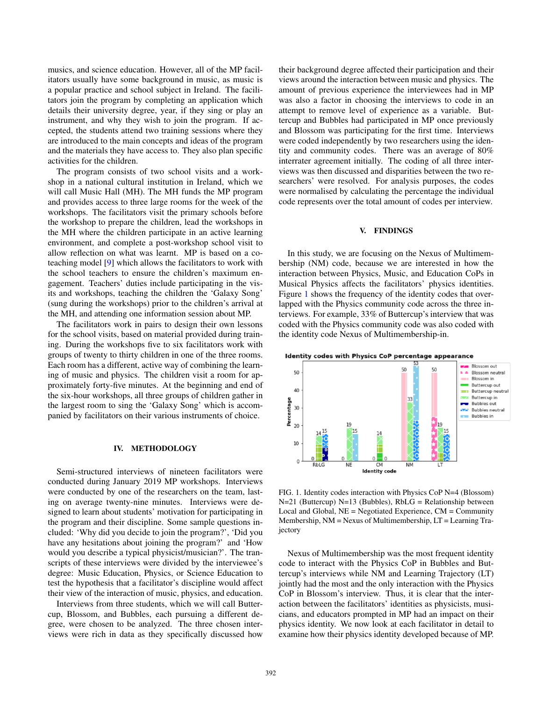musics, and science education. However, all of the MP facilitators usually have some background in music, as music is a popular practice and school subject in Ireland. The facilitators join the program by completing an application which details their university degree, year, if they sing or play an instrument, and why they wish to join the program. If accepted, the students attend two training sessions where they are introduced to the main concepts and ideas of the program and the materials they have access to. They also plan specific activities for the children.

The program consists of two school visits and a workshop in a national cultural institution in Ireland, which we will call Music Hall (MH). The MH funds the MP program and provides access to three large rooms for the week of the workshops. The facilitators visit the primary schools before the workshop to prepare the children, lead the workshops in the MH where the children participate in an active learning environment, and complete a post-workshop school visit to allow reflection on what was learnt. MP is based on a coteaching model [9] which allows the facilitators to work with the school teachers to ensure the children's maximum engagement. Teachers' duties include participating in the visits and workshops, teaching the children the 'Galaxy Song' (sung during the workshops) prior to the children's arrival at the MH, and attending one information session about MP.

The facilitators work in pairs to design their own lessons for the school visits, based on material provided during training. During the workshops five to six facilitators work with groups of twenty to thirty children in one of the three rooms. Each room has a different, active way of combining the learning of music and physics. The children visit a room for approximately forty-five minutes. At the beginning and end of the six-hour workshops, all three groups of children gather in the largest room to sing the 'Galaxy Song' which is accompanied by facilitators on their various instruments of choice.

# IV. METHODOLOGY

Semi-structured interviews of nineteen facilitators were conducted during January 2019 MP workshops. Interviews were conducted by one of the researchers on the team, lasting on average twenty-nine minutes. Interviews were designed to learn about students' motivation for participating in the program and their discipline. Some sample questions included: 'Why did you decide to join the program?', 'Did you have any hesitations about joining the program?' and 'How would you describe a typical physicist/musician?'. The transcripts of these interviews were divided by the interviewee's degree: Music Education, Physics, or Science Education to test the hypothesis that a facilitator's discipline would affect their view of the interaction of music, physics, and education.

Interviews from three students, which we will call Buttercup, Blossom, and Bubbles, each pursuing a different degree, were chosen to be analyzed. The three chosen interviews were rich in data as they specifically discussed how their background degree affected their participation and their views around the interaction between music and physics. The amount of previous experience the interviewees had in MP was also a factor in choosing the interviews to code in an attempt to remove level of experience as a variable. Buttercup and Bubbles had participated in MP once previously and Blossom was participating for the first time. Interviews were coded independently by two researchers using the identity and community codes. There was an average of 80% interrater agreement initially. The coding of all three interviews was then discussed and disparities between the two researchers' were resolved. For analysis purposes, the codes were normalised by calculating the percentage the individual code represents over the total amount of codes per interview.

#### V. FINDINGS

In this study, we are focusing on the Nexus of Multimembership (NM) code, because we are interested in how the interaction between Physics, Music, and Education CoPs in Musical Physics affects the facilitators' physics identities. Figure [1](#page-2-0) shows the frequency of the identity codes that overlapped with the Physics community code across the three interviews. For example, 33% of Buttercup's interview that was coded with the Physics community code was also coded with the identity code Nexus of Multimembership-in.





<span id="page-2-0"></span>FIG. 1. Identity codes interaction with Physics CoP N=4 (Blossom) N=21 (Buttercup) N=13 (Bubbles), RbLG = Relationship between Local and Global,  $NE = Negotiated Experience, CM = Community$ Membership, NM = Nexus of Multimembership, LT = Learning Trajectory

Nexus of Multimembership was the most frequent identity code to interact with the Physics CoP in Bubbles and Buttercup's interviews while NM and Learning Trajectory (LT) jointly had the most and the only interaction with the Physics CoP in Blossom's interview. Thus, it is clear that the interaction between the facilitators' identities as physicists, musicians, and educators prompted in MP had an impact on their physics identity. We now look at each facilitator in detail to examine how their physics identity developed because of MP.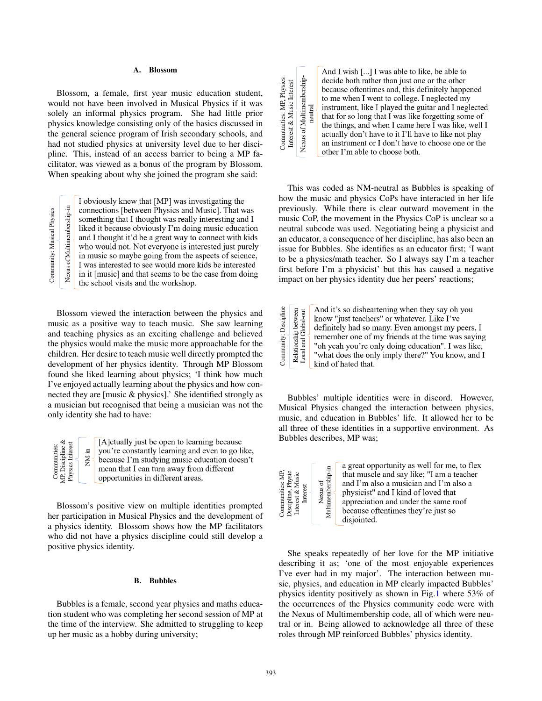#### A. Blossom

Blossom, a female, first year music education student, would not have been involved in Musical Physics if it was solely an informal physics program. She had little prior physics knowledge consisting only of the basics discussed in the general science program of Irish secondary schools, and had not studied physics at university level due to her discipline. This, instead of an access barrier to being a MP facilitator, was viewed as a bonus of the program by Blossom. When speaking about why she joined the program she said:

Nexus of Multimembership-in Community: Musical Physics

I obviously knew that [MP] was investigating the connections [between Physics and Music]. That was something that I thought was really interesting and I liked it because obviously I'm doing music education and I thought it'd be a great way to connect with kids who would not. Not everyone is interested just purely in music so maybe going from the aspects of science, I was interested to see would more kids be interested in it [music] and that seems to be the case from doing the school visits and the workshop.

Blossom viewed the interaction between the physics and music as a positive way to teach music. She saw learning and teaching physics as an exciting challenge and believed the physics would make the music more approachable for the children. Her desire to teach music well directly prompted the development of her physics identity. Through MP Blossom found she liked learning about physics; 'I think how much I've enjoyed actually learning about the physics and how connected they are [music & physics].' She identified strongly as a musician but recognised that being a musician was not the only identity she had to have:

|  | .≊ | [A] ctually just be open to learning because<br>you're constantly learning and even to go li<br>because I'm studying music education does<br>mean that I can turn away from different<br>opportunities in different areas. |
|--|----|----------------------------------------------------------------------------------------------------------------------------------------------------------------------------------------------------------------------------|
|--|----|----------------------------------------------------------------------------------------------------------------------------------------------------------------------------------------------------------------------------|

Blossom's positive view on multiple identities prompted her participation in Musical Physics and the development of a physics identity. Blossom shows how the MP facilitators who did not have a physics discipline could still develop a positive physics identity.

#### B. Bubbles

Bubbles is a female, second year physics and maths education student who was completing her second session of MP at the time of the interview. She admitted to struggling to keep up her music as a hobby during university;

Nexus of Multimembership-<br>neutral Communities: MP, Physics<br>Interest & Music Interest

And I wish [...] I was able to like, be able to decide both rather than just one or the other because oftentimes and, this definitely happened to me when I went to college. I neglected my instrument, like I played the guitar and I neglected that for so long that I was like forgetting some of the things, and when I came here I was like, well I actually don't have to it I'll have to like not play an instrument or I don't have to choose one or the other I'm able to choose both.

This was coded as NM-neutral as Bubbles is speaking of how the music and physics CoPs have interacted in her life previously. While there is clear outward movement in the music CoP, the movement in the Physics CoP is unclear so a neutral subcode was used. Negotiating being a physicist and an educator, a consequence of her discipline, has also been an issue for Bubbles. She identifies as an educator first; 'I want to be a physics/math teacher. So I always say I'm a teacher first before I'm a physicist' but this has caused a negative impact on her physics identity due her peers' reactions;

|                       | between<br>bal-out | And it's so disheartening when they say oh you     |
|-----------------------|--------------------|----------------------------------------------------|
| Community: Discipline |                    | know "just teachers" or whatever. Like I've        |
|                       |                    | definitely had so many. Even amongst my peers, I   |
|                       |                    | remember one of my friends at the time was saying  |
|                       | onsi<br>and        | "oh yeah you're only doing education". I was like, |
|                       |                    | "what does the only imply there?" You know, and I  |
|                       |                    | kind of hated that.                                |

Bubbles' multiple identities were in discord. However, Musical Physics changed the interaction between physics, music, and education in Bubbles' life. It allowed her to be all three of these identities in a supportive environment. As Bubbles describes, MP was;

| Communities: MP.<br>Discipline, Physic<br>Interest & Music<br>Interest | Multimembershin-in<br>Nexus of |
|------------------------------------------------------------------------|--------------------------------|
|                                                                        |                                |

go like, doesn't

a great opportunity as well for me, to flex that muscle and say like; "I am a teacher and I'm also a musician and I'm also a physicist" and I kind of loved that appreciation and under the same roof because oftentimes they're just so disjointed.

She speaks repeatedly of her love for the MP initiative describing it as; 'one of the most enjoyable experiences I've ever had in my major'. The interaction between music, physics, and education in MP clearly impacted Bubbles' physics identity positively as shown in Fig.1 where 53% of the occurrences of the Physics community code were with the Nexus of Multimembership code, all of which were neutral or in. Being allowed to acknowledge all three of these roles through MP reinforced Bubbles' physics identity.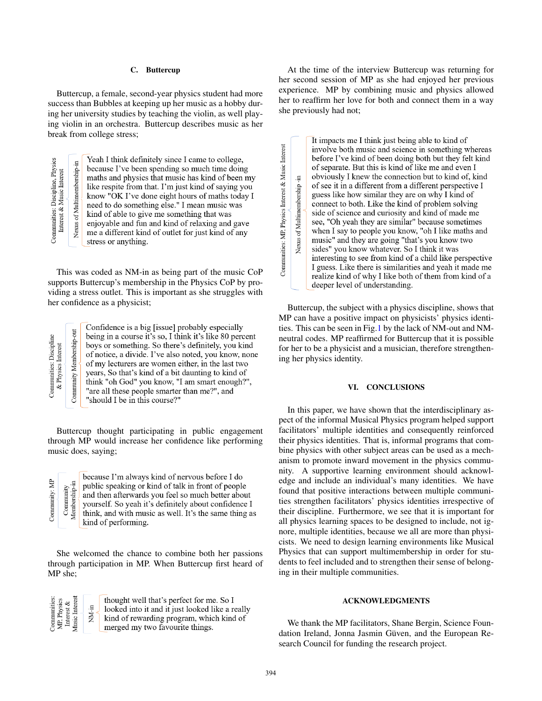## C. Buttercup

Buttercup, a female, second-year physics student had more success than Bubbles at keeping up her music as a hobby during her university studies by teaching the violin, as well playing violin in an orchestra. Buttercup describes music as her break from college stress;

Communities: Discipline, Physics<br>Interest & Music Interest Nexus of Multimembership-in

Yeah I think definitely since I came to college, because I've been spending so much time doing maths and physics that music has kind of been my like respite from that. I'm just kind of saying you know "OK I've done eight hours of maths today I need to do something else." I mean music was kind of able to give me something that was enjoyable and fun and kind of relaxing and gave me a different kind of outlet for just kind of any stress or anything.

This was coded as NM-in as being part of the music CoP supports Buttercup's membership in the Physics CoP by providing a stress outlet. This is important as she struggles with her confidence as a physicist;

Confidence is a big [issue] probably especially being in a course it's so, I think it's like 80 percent boys or something. So there's definitely, you kind of notice, a divide. I've also noted, you know, none of my lecturers are women either, in the last two years, So that's kind of a bit daunting to kind of think "oh God" you know, "I am smart enough?", "are all these people smarter than me?", and "should I be in this course?"

Buttercup thought participating in public engagement through MP would increase her confidence like performing music does, saying;

Community: MP Membership-in Community

because I'm always kind of nervous before I do public speaking or kind of talk in front of people and then afterwards you feel so much better about yourself. So yeah it's definitely about confidence I think, and with music as well. It's the same thing as kind of performing.

She welcomed the chance to combine both her passions through participation in MP. When Buttercup first heard of MP she;



thought well that's perfect for me. So I looked into it and it just looked like a really kind of rewarding program, which kind of merged my two favourite things.

At the time of the interview Buttercup was returning for her second session of MP as she had enjoyed her previous experience. MP by combining music and physics allowed her to reaffirm her love for both and connect them in a way she previously had not;

It impacts me I think just being able to kind of involve both music and science in something whereas before I've kind of been doing both but they felt kind of separate. But this is kind of like me and even I obviously I knew the connection but to kind of, kind Nexus of Multimembership -in of see it in a different from a different perspective I guess like how similar they are on why I kind of connect to both. Like the kind of problem solving side of science and curiosity and kind of made me see, "Oh yeah they are similar" because sometimes when I say to people you know, "oh I like maths and music" and they are going "that's you know two sides" you know whatever. So I think it was interesting to see from kind of a child like perspective I guess. Like there is similarities and yeah it made me realize kind of why I like both of them from kind of a deeper level of understanding.

Buttercup, the subject with a physics discipline, shows that MP can have a positive impact on physicists' physics identities. This can be seen in Fig.1 by the lack of NM-out and NMneutral codes. MP reaffirmed for Buttercup that it is possible for her to be a physicist and a musician, therefore strengthening her physics identity.

## VI. CONCLUSIONS

In this paper, we have shown that the interdisciplinary aspect of the informal Musical Physics program helped support facilitators' multiple identities and consequently reinforced their physics identities. That is, informal programs that combine physics with other subject areas can be used as a mechanism to promote inward movement in the physics community. A supportive learning environment should acknowledge and include an individual's many identities. We have found that positive interactions between multiple communities strengthen facilitators' physics identities irrespective of their discipline. Furthermore, we see that it is important for all physics learning spaces to be designed to include, not ignore, multiple identities, because we all are more than physicists. We need to design learning environments like Musical Physics that can support multimembership in order for students to feel included and to strengthen their sense of belonging in their multiple communities.

# ACKNOWLEDGMENTS

We thank the MP facilitators, Shane Bergin, Science Foundation Ireland, Jonna Jasmin Güven, and the European Research Council for funding the research project.

Communities: MP, Physics Interest & Music Interest